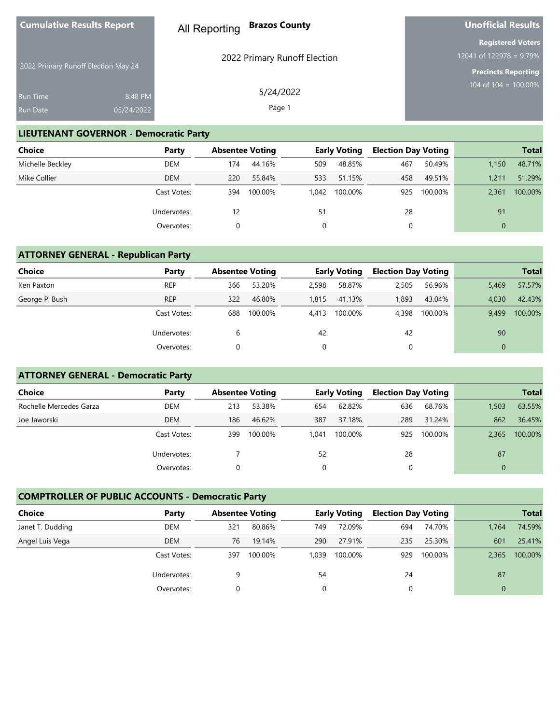| <b>Cumulative Results Report</b>    |                                   | <b>Brazos County</b><br>All Reporting | Unofficial Results                                                                   |
|-------------------------------------|-----------------------------------|---------------------------------------|--------------------------------------------------------------------------------------|
| 2022 Primary Runoff Election May 24 |                                   | 2022 Primary Runoff Election          | <b>Registered Voters</b><br>12041 of 122978 = $9.79\%$<br><b>Precincts Reporting</b> |
| <b>Run Time</b><br>Run Date         | 8:48 PM<br>05/24/2022             | 5/24/2022<br>Page 1                   | 104 of 104 = $100.00\%$                                                              |
|                                     | <b>I IFUTENIANT COVERNIOR B B</b> |                                       |                                                                                      |

#### **LIEUTENANT GOVERNOR - Democratic Party**

| <b>Choice</b>    | Party       | <b>Absentee Voting</b> |         |       | <b>Early Voting</b> | <b>Election Day Voting</b> |         |          | <b>Total</b> |
|------------------|-------------|------------------------|---------|-------|---------------------|----------------------------|---------|----------|--------------|
| Michelle Beckley | DEM         | 174                    | 44.16%  | 509   | 48.85%              | 467                        | 50.49%  | 1.150    | 48.71%       |
| Mike Collier     | <b>DEM</b>  | 220                    | 55.84%  | 533   | 51.15%              | 458                        | 49.51%  | 1.211    | 51.29%       |
|                  | Cast Votes: | 394                    | 100.00% | 1,042 | 100.00%             | 925                        | 100.00% | 2,361    | 100.00%      |
|                  | Undervotes: | 12                     |         | 51    |                     | 28                         |         | 91       |              |
|                  | Overvotes:  |                        |         | 0     |                     | 0                          |         | $\Omega$ |              |

# **ATTORNEY GENERAL - Republican Party**

| <b>Choice</b>  | Party       | <b>Absentee Voting</b> |         |       | <b>Early Voting</b> | <b>Election Day Voting</b> |         |          | <b>Total</b> |
|----------------|-------------|------------------------|---------|-------|---------------------|----------------------------|---------|----------|--------------|
| Ken Paxton     | <b>REP</b>  | 366                    | 53.20%  | 2,598 | 58.87%              | 2,505                      | 56.96%  | 5,469    | 57.57%       |
| George P. Bush | <b>REP</b>  | 322                    | 46.80%  | 1.815 | 41.13%              | 1.893                      | 43.04%  | 4.030    | 42.43%       |
|                | Cast Votes: | 688                    | 100.00% | 4.413 | 100.00%             | 4,398                      | 100.00% | 9.499    | 100.00%      |
|                | Undervotes: | 6                      |         | 42    |                     | 42                         |         | 90       |              |
|                | Overvotes:  |                        |         |       |                     |                            |         | $\Omega$ |              |

# **ATTORNEY GENERAL - Democratic Party**

| Choice                  | Party       | <b>Absentee Voting</b> |         |       | <b>Early Voting</b> | <b>Election Day Voting</b> |         |          | <b>Total</b> |
|-------------------------|-------------|------------------------|---------|-------|---------------------|----------------------------|---------|----------|--------------|
| Rochelle Mercedes Garza | <b>DEM</b>  | 213                    | 53.38%  | 654   | 62.82%              | 636                        | 68.76%  | 1,503    | 63.55%       |
| Joe Jaworski            | <b>DEM</b>  | 186                    | 46.62%  | 387   | 37.18%              | 289                        | 31.24%  | 862      | 36.45%       |
|                         | Cast Votes: | 399                    | 100.00% | 1.041 | 100.00%             | 925                        | 100.00% | 2.365    | 100.00%      |
|                         | Undervotes: |                        |         | 52    |                     | 28                         |         | 87       |              |
|                         | Overvotes:  |                        |         |       |                     | 0                          |         | $\Omega$ |              |

# **COMPTROLLER OF PUBLIC ACCOUNTS - Democratic Party**

| Choice           | Party       | <b>Absentee Voting</b> |         |       | Early Voting | <b>Election Day Voting</b> |         |          | <b>Total</b> |
|------------------|-------------|------------------------|---------|-------|--------------|----------------------------|---------|----------|--------------|
| Janet T. Dudding | <b>DEM</b>  | 321                    | 80.86%  | 749   | 72.09%       | 694                        | 74.70%  | 1.764    | 74.59%       |
| Angel Luis Vega  | <b>DEM</b>  | 76                     | 19.14%  | 290   | 27.91%       | 235                        | 25.30%  | 601      | 25.41%       |
|                  | Cast Votes: | 397                    | 100.00% | 1.039 | 100.00%      | 929                        | 100.00% | 2.365    | 100.00%      |
|                  | Undervotes: |                        |         | 54    |              | 24                         |         | 87       |              |
|                  | Overvotes:  |                        |         | 0     |              |                            |         | $\Omega$ |              |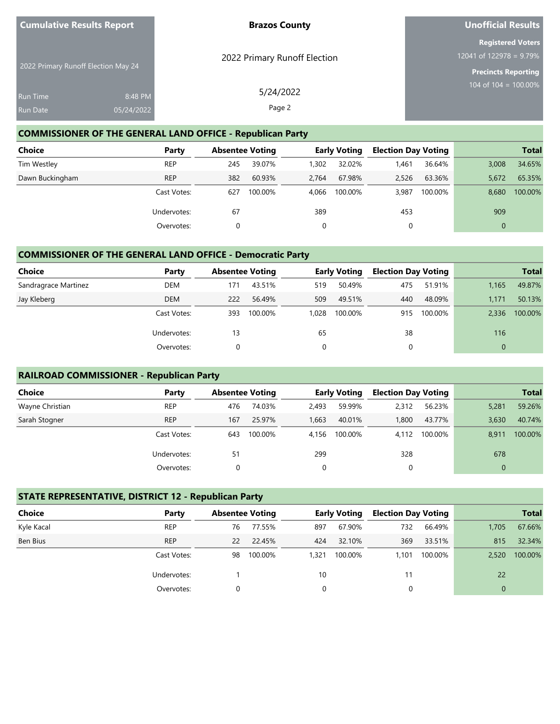| <b>Cumulative Results Report</b>    |            | <b>Brazos County</b>         | <b>Unofficial Results</b>                                                 |
|-------------------------------------|------------|------------------------------|---------------------------------------------------------------------------|
|                                     |            | 2022 Primary Runoff Election | <b>Registered Voters</b><br>12041 of 122978 = $9.79\%$                    |
| 2022 Primary Runoff Election May 24 |            |                              | <b>Precincts Reporting</b><br>$104 \overline{\text{ of } 104} = 100.00\%$ |
| <b>Run Time</b>                     | 8:48 PM    | 5/24/2022                    |                                                                           |
| <b>Run Date</b>                     | 05/24/2022 | Page 2                       |                                                                           |

#### **COMMISSIONER OF THE GENERAL LAND OFFICE - Republican Party**

| Choice          | Party       | <b>Absentee Voting</b> |         |       | <b>Early Voting</b> | <b>Election Day Voting</b> |         |          | <b>Total</b> |
|-----------------|-------------|------------------------|---------|-------|---------------------|----------------------------|---------|----------|--------------|
| Tim Westley     | <b>REP</b>  | 245                    | 39.07%  | 1,302 | 32.02%              | 1,461                      | 36.64%  | 3,008    | 34.65%       |
| Dawn Buckingham | <b>REP</b>  | 382                    | 60.93%  | 2.764 | 67.98%              | 2.526                      | 63.36%  | 5,672    | 65.35%       |
|                 | Cast Votes: | 627                    | 100.00% | 4.066 | 100.00%             | 3,987                      | 100.00% | 8,680    | 100.00%      |
|                 | Undervotes: | 67                     |         | 389   |                     | 453                        |         | 909      |              |
|                 | Overvotes:  |                        |         |       |                     | 0                          |         | $\Omega$ |              |

#### **COMMISSIONER OF THE GENERAL LAND OFFICE - Democratic Party**

| Choice               | Party       | <b>Absentee Voting</b> |         |       | <b>Early Voting</b> | <b>Election Day Voting</b> |         |          | <b>Total</b> |
|----------------------|-------------|------------------------|---------|-------|---------------------|----------------------------|---------|----------|--------------|
| Sandragrace Martinez | <b>DEM</b>  | 171                    | 43.51%  | 519   | 50.49%              | 475                        | 51.91%  | 1.165    | 49.87%       |
| Jay Kleberg          | <b>DEM</b>  | 222                    | 56.49%  | 509   | 49.51%              | 440                        | 48.09%  | 1.171    | 50.13%       |
|                      | Cast Votes: | 393                    | 100.00% | 1.028 | 100.00%             | 915                        | 100.00% | 2.336    | 100.00%      |
|                      | Undervotes: | 13                     |         | 65    |                     | 38                         |         | 116      |              |
|                      | Overvotes:  | 0                      |         |       |                     |                            |         | $\Omega$ |              |

#### **RAILROAD COMMISSIONER - Republican Party**

| Choice          | Party       | <b>Absentee Voting</b> |         |       | <b>Early Voting</b> | <b>Election Day Voting</b> |         |             | <b>Total</b> |
|-----------------|-------------|------------------------|---------|-------|---------------------|----------------------------|---------|-------------|--------------|
| Wayne Christian | <b>REP</b>  | 476                    | 74.03%  | 2,493 | 59.99%              | 2,312                      | 56.23%  | 5,281       | 59.26%       |
| Sarah Stogner   | <b>REP</b>  | 167                    | 25.97%  | 1,663 | 40.01%              | 1,800                      | 43.77%  | 3.630       | 40.74%       |
|                 | Cast Votes: | 643                    | 100.00% | 4.156 | 100.00%             | 4.112                      | 100.00% | 8,911       | 100.00%      |
|                 | Undervotes: | 51                     |         | 299   |                     | 328                        |         | 678         |              |
|                 | Overvotes:  |                        |         | 0     |                     | 0                          |         | $\mathbf 0$ |              |

#### **STATE REPRESENTATIVE, DISTRICT 12 - Republican Party**

| <b>Choice</b> | Party       | <b>Absentee Voting</b> |         |       | <b>Early Voting</b> | <b>Election Day Voting</b> |         |          | <b>Total</b> |
|---------------|-------------|------------------------|---------|-------|---------------------|----------------------------|---------|----------|--------------|
| Kyle Kacal    | <b>REP</b>  | 76                     | 77.55%  | 897   | 67.90%              | 732                        | 66.49%  | 1.705    | 67.66%       |
| Ben Bius      | <b>REP</b>  | 22                     | 22.45%  | 424   | 32.10%              | 369                        | 33.51%  | 815      | 32.34%       |
|               | Cast Votes: | 98                     | 100.00% | 1,321 | 100.00%             | 1.101                      | 100.00% | 2,520    | 100.00%      |
|               | Undervotes: |                        |         | 10    |                     | 11                         |         | 22       |              |
|               | Overvotes:  | 0                      |         |       |                     |                            |         | $\Omega$ |              |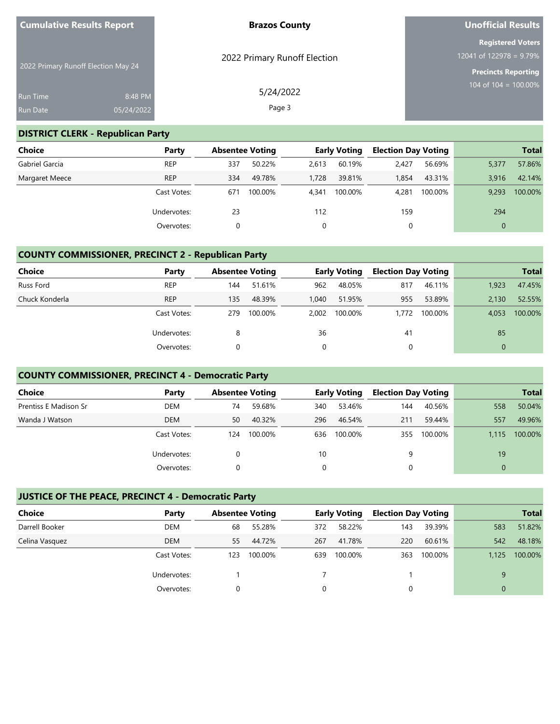| <b>Cumulative Results Report</b>    |                       | <b>Brazos County</b>         | <b>Unofficial Results</b>                                           |
|-------------------------------------|-----------------------|------------------------------|---------------------------------------------------------------------|
| 2022 Primary Runoff Election May 24 |                       | 2022 Primary Runoff Election | <b>Registered Voters</b><br>$12041$ of $122\overline{978} = 9.79\%$ |
| <b>Run Time</b><br><b>Run Date</b>  | 8:48 PM<br>05/24/2022 | 5/24/2022<br>Page 3          | <b>Precincts Reporting</b><br>104 of 104 = $100.00\%$               |

#### **DISTRICT CLERK - Republican Party**

| Choice         | Party       | <b>Absentee Voting</b> |         |       | <b>Early Voting</b> | <b>Election Day Voting</b> |         |          | <b>Total</b> |
|----------------|-------------|------------------------|---------|-------|---------------------|----------------------------|---------|----------|--------------|
| Gabriel Garcia | <b>REP</b>  | 337                    | 50.22%  | 2.613 | 60.19%              | 2,427                      | 56.69%  | 5,377    | 57.86%       |
| Margaret Meece | <b>REP</b>  | 334                    | 49.78%  | 1,728 | 39.81%              | 1.854                      | 43.31%  | 3.916    | 42.14%       |
|                | Cast Votes: | 671                    | 100.00% | 4.341 | 100.00%             | 4,281                      | 100.00% | 9.293    | 100.00%      |
|                | Undervotes: | 23                     |         | 112   |                     | 159                        |         | 294      |              |
|                | Overvotes:  | 0                      |         |       |                     |                            |         | $\Omega$ |              |

### **COUNTY COMMISSIONER, PRECINCT 2 - Republican Party**

| <b>Choice</b>  | Party       | <b>Absentee Voting</b> |         |       | <b>Early Voting</b> | <b>Election Day Voting</b> |         |              | <b>Total</b> |
|----------------|-------------|------------------------|---------|-------|---------------------|----------------------------|---------|--------------|--------------|
| Russ Ford      | <b>REP</b>  | 144                    | 51.61%  | 962   | 48.05%              | 817                        | 46.11%  | 1.923        | 47.45%       |
| Chuck Konderla | <b>REP</b>  | 135                    | 48.39%  | 1.040 | 51.95%              | 955                        | 53.89%  | 2.130        | 52.55%       |
|                | Cast Votes: | 279                    | 100.00% | 2,002 | 100.00%             | 1.772                      | 100.00% | 4.053        | 100.00%      |
|                | Undervotes: | 8                      |         | 36    |                     | 41                         |         | 85           |              |
|                | Overvotes:  |                        |         | 0     |                     | 0                          |         | $\mathbf{0}$ |              |

#### **COUNTY COMMISSIONER, PRECINCT 4 - Democratic Party**

| <b>Choice</b>         | Party       | <b>Absentee Voting</b> |         |     | <b>Early Voting</b> | <b>Election Day Voting</b> |         |          | <b>Total</b> |
|-----------------------|-------------|------------------------|---------|-----|---------------------|----------------------------|---------|----------|--------------|
| Prentiss E Madison Sr | DEM         | 74                     | 59.68%  | 340 | 53.46%              | 144                        | 40.56%  | 558      | 50.04%       |
| Wanda J Watson        | <b>DEM</b>  | 50                     | 40.32%  | 296 | 46.54%              | 211                        | 59.44%  | 557      | 49.96%       |
|                       | Cast Votes: | 124                    | 100.00% | 636 | 100.00%             | 355                        | 100.00% | 1.115    | 100.00%      |
|                       | Undervotes: |                        |         | 10  |                     | 9                          |         | 19       |              |
|                       | Overvotes:  |                        |         |     |                     | 0                          |         | $\Omega$ |              |

#### **JUSTICE OF THE PEACE, PRECINCT 4 - Democratic Party**

| <b>Choice</b>  | Party       | <b>Absentee Voting</b> |         |          | <b>Early Voting</b> | <b>Election Day Voting</b> |         |          | <b>Total</b> |
|----------------|-------------|------------------------|---------|----------|---------------------|----------------------------|---------|----------|--------------|
| Darrell Booker | <b>DEM</b>  | 68                     | 55.28%  | 372      | 58.22%              | 143                        | 39.39%  | 583      | 51.82%       |
| Celina Vasquez | <b>DEM</b>  | 55.                    | 44.72%  | 267      | 41.78%              | 220                        | 60.61%  | 542      | 48.18%       |
|                | Cast Votes: | 123                    | 100.00% | 639      | 100.00%             | 363                        | 100.00% | 1.125    | 100.00%      |
|                | Undervotes: |                        |         |          |                     |                            |         | 9        |              |
|                | Overvotes:  |                        |         | $\Omega$ |                     |                            |         | $\Omega$ |              |